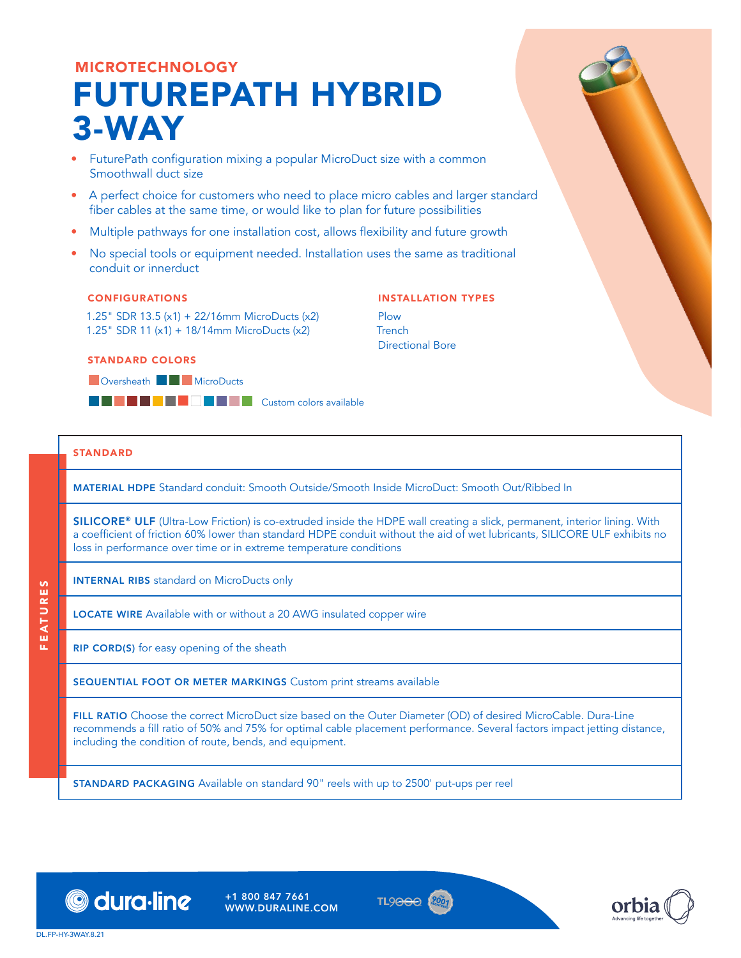# MICROTECHNOLOGY FUTUREPATH HYBRID 3-WAY

- FuturePath configuration mixing a popular MicroDuct size with a common Smoothwall duct size
- A perfect choice for customers who need to place micro cables and larger standard fiber cables at the same time, or would like to plan for future possibilities
- Multiple pathways for one installation cost, allows flexibility and future growth
- No special tools or equipment needed. Installation uses the same as traditional conduit or innerduct

### CONFIGURATIONS

1.25" SDR 13.5 (x1) + 22/16mm MicroDucts (x2) 1.25" SDR 11 (x1) + 18/14mm MicroDucts (x2)

### STANDARD COLORS

**DOversheath BGD** MicroDucts

**BCDSCXFAWWYZBANK** 

### STANDARD

FEATURES

EATURES

MATERIAL HDPE Standard conduit: Smooth Outside/Smooth Inside MicroDuct: Smooth Out/Ribbed In

SILICORE® ULF (Ultra-Low Friction) is co-extruded inside the HDPE wall creating a slick, permanent, interior lining. With a coefficient of friction 60% lower than standard HDPE conduit without the aid of wet lubricants, SILICORE ULF exhibits no loss in performance over time or in extreme temperature conditions

INSTALLATION TYPES

Directional Bore

Plow **Tranch** 

INTERNAL RIBS standard on MicroDucts only

LOCATE WIRE Available with or without a 20 AWG insulated copper wire

RIP CORD(S) for easy opening of the sheath

SEQUENTIAL FOOT OR METER MARKINGS Custom print streams available

FILL RATIO Choose the correct MicroDuct size based on the Outer Diameter (OD) of desired MicroCable. Dura-Line recommends a fill ratio of 50% and 75% for optimal cable placement performance. Several factors impact jetting distance, including the condition of route, bends, and equipment.

STANDARD PACKAGING Available on standard 90" reels with up to 2500' put-ups per reel



+1 800 847 7661 WWW.DURALINE.COM